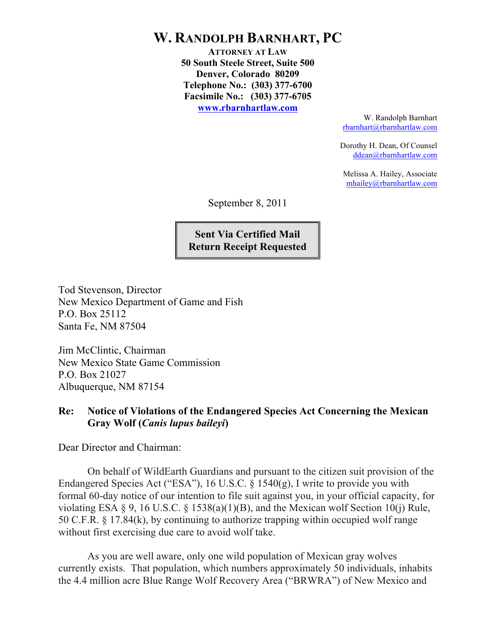## **W. RANDOLPH BARNHART, PC**

**ATTORNEY AT LAW 50 South Steele Street, Suite 500 Denver, Colorado 80209 Telephone No.: (303) 377-6700 Facsimile No.: (303) 377-6705 www.rbarnhartlaw.com**

> W. Randolph Barnhart rbarnhart@rbarnhartlaw.com

Dorothy H. Dean, Of Counsel ddean@rbarnhartlaw.com

Melissa A. Hailey, Associate mhailey@rbarnhartlaw.com

September 8, 2011

**Sent Via Certified Mail Return Receipt Requested**

Tod Stevenson, Director New Mexico Department of Game and Fish P.O. Box 25112 Santa Fe, NM 87504

Jim McClintic, Chairman New Mexico State Game Commission P.O. Box 21027 Albuquerque, NM 87154

## **Re: Notice of Violations of the Endangered Species Act Concerning the Mexican Gray Wolf (***Canis lupus baileyi***)**

Dear Director and Chairman:

On behalf of WildEarth Guardians and pursuant to the citizen suit provision of the Endangered Species Act ("ESA"), 16 U.S.C. § 1540(g), I write to provide you with formal 60-day notice of our intention to file suit against you, in your official capacity, for violating ESA § 9, 16 U.S.C. § 1538(a)(1)(B), and the Mexican wolf Section 10(j) Rule, 50 C.F.R. § 17.84(k), by continuing to authorize trapping within occupied wolf range without first exercising due care to avoid wolf take.

As you are well aware, only one wild population of Mexican gray wolves currently exists. That population, which numbers approximately 50 individuals, inhabits the 4.4 million acre Blue Range Wolf Recovery Area ("BRWRA") of New Mexico and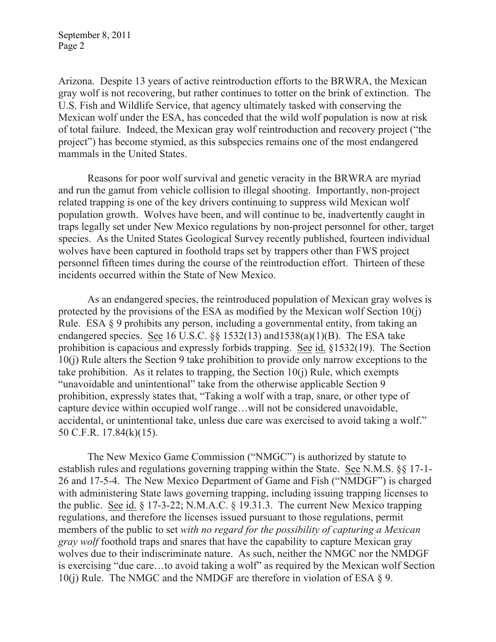September 8, 2011 Page 2

Arizona. Despite 13 years of active reintroduction efforts to the BRWRA, the Mexican gray wolf is not recovering, but rather continues to totter on the brink of extinction. The U.S. Fish and Wildlife Service, that agency ultimately tasked with conserving the Mexican wolf under the ESA, has conceded that the wild wolf population is now at risk of total failure. Indeed, the Mexican gray wolf reintroduction and recovery project ("the project") has become stymied, as this subspecies remains one of the most endangered mammals in the United States.

Reasons for poor wolf survival and genetic veracity in the BRWRA are myriad and run the gamut from vehicle collision to illegal shooting. Importantly, non-project related trapping is one of the key drivers continuing to suppress wild Mexican wolf population growth. Wolves have been, and will continue to be, inadvertently caught in traps legally set under New Mexico regulations by non-project personnel for other, target species. As the United States Geological Survey recently published, fourteen individual wolves have been captured in foothold traps set by trappers other than FWS project personnel fifteen times during the course of the reintroduction effort. Thirteen of these incidents occurred within the State of New Mexico.

As an endangered species, the reintroduced population of Mexican gray wolves is protected by the provisions of the ESA as modified by the Mexican wolf Section 10(j) Rule. ESA § 9 prohibits any person, including a governmental entity, from taking an endangered species. See 16 U.S.C.  $\S$ § 1532(13) and 1538(a)(1)(B). The ESA take prohibition is capacious and expressly forbids trapping. See id. §1532(19). The Section 10(j) Rule alters the Section 9 take prohibition to provide only narrow exceptions to the take prohibition. As it relates to trapping, the Section  $10(i)$  Rule, which exempts "unavoidable and unintentional" take from the otherwise applicable Section 9 prohibition, expressly states that, "Taking a wolf with a trap, snare, or other type of capture device within occupied wolf range…will not be considered unavoidable, accidental, or unintentional take, unless due care was exercised to avoid taking a wolf." 50 C.F.R. 17.84(k)(15).

The New Mexico Game Commission ("NMGC") is authorized by statute to establish rules and regulations governing trapping within the State. See N.M.S. §§ 17-1- 26 and 17-5-4. The New Mexico Department of Game and Fish ("NMDGF") is charged with administering State laws governing trapping, including issuing trapping licenses to the public. See id.  $\S$  17-3-22; N.M.A.C.  $\S$  19.31.3. The current New Mexico trapping regulations, and therefore the licenses issued pursuant to those regulations, permit members of the public to set *with no regard for the possibility of capturing a Mexican gray wolf* foothold traps and snares that have the capability to capture Mexican gray wolves due to their indiscriminate nature. As such, neither the NMGC nor the NMDGF is exercising "due care…to avoid taking a wolf" as required by the Mexican wolf Section 10(j) Rule. The NMGC and the NMDGF are therefore in violation of ESA  $\S$  9.